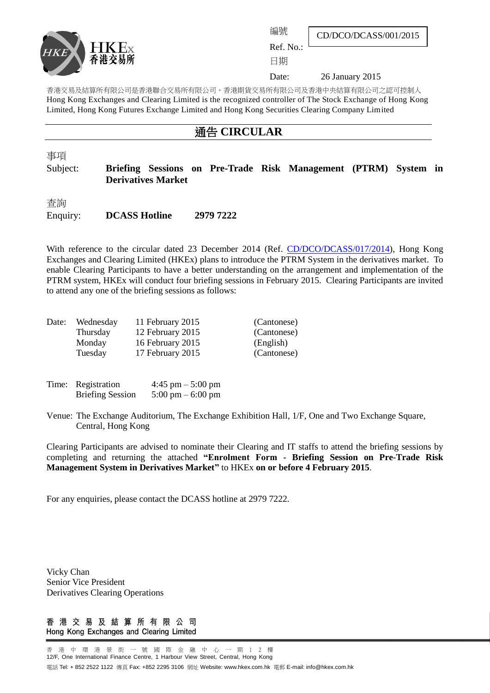

CD/DCO/DCASS/001/2015

Ref. No.:

日期

編號

Date: 26 January 2015

香港交易及結算所有限公司是香港聯合交易所有限公司、香港期貨交易所有限公司及香港中央結算有限公司之認可控制人 Hong Kong Exchanges and Clearing Limited is the recognized controller of The Stock Exchange of Hong Kong Limited, Hong Kong Futures Exchange Limited and Hong Kong Securities Clearing Company Limited

## 通告 **CIRCULAR**

事項

Subject: **Briefing Sessions on Pre-Trade Risk Management (PTRM) System in Derivatives Market**

查詢

Enquiry: **DCASS Hotline 2979 7222**

With reference to the circular dated 23 December 2014 (Ref. [CD/DCO/DCASS/017/2014\)](http://www.hkex.com.hk/eng/market/partcir/hkcc/2014/Documents/ce_DCASS_017_Eng_2014.pdf), Hong Kong Exchanges and Clearing Limited (HKEx) plans to introduce the PTRM System in the derivatives market. To enable Clearing Participants to have a better understanding on the arrangement and implementation of the PTRM system, HKEx will conduct four briefing sessions in February 2015. Clearing Participants are invited to attend any one of the briefing sessions as follows:

| Date: | Wednesday | 11 February 2015 | (Cantonese) |
|-------|-----------|------------------|-------------|
|       | Thursday  | 12 February 2015 | (Cantonese) |
|       | Monday    | 16 February 2015 | (English)   |
|       | Tuesday   | 17 February 2015 | (Cantonese) |

| Time: Registration      | $4:45$ pm $-5:00$ pm                |
|-------------------------|-------------------------------------|
| <b>Briefing Session</b> | $5:00 \text{ pm} - 6:00 \text{ pm}$ |

Venue: The Exchange Auditorium, The Exchange Exhibition Hall, 1/F, One and Two Exchange Square, Central, Hong Kong

Clearing Participants are advised to nominate their Clearing and IT staffs to attend the briefing sessions by completing and returning the attached **"Enrolment Form - Briefing Session on Pre-Trade Risk Management System in Derivatives Market"** to HKEx **on or before 4 February 2015**.

For any enquiries, please contact the DCASS hotline at 2979 7222.

Vicky Chan Senior Vice President Derivatives Clearing Operations

香港交易及結算所有限公司 Hong Kong Exchanges and Clearing Limited